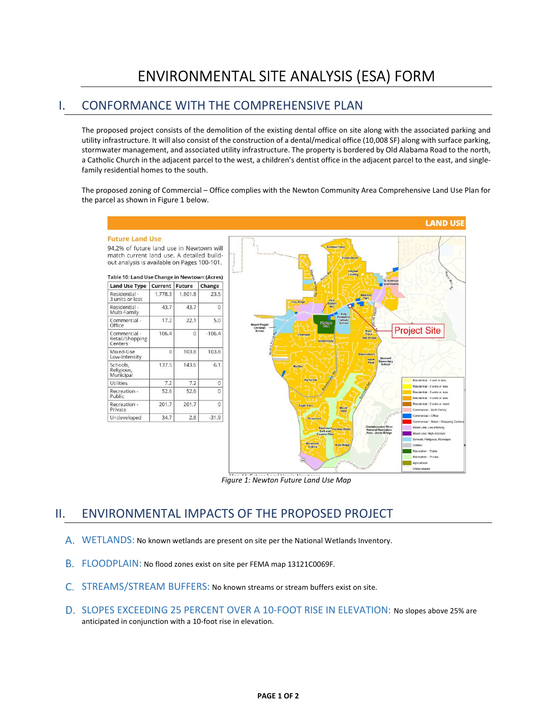## ENVIRONMENTAL SITE ANALYSIS (ESA) FORM

## I. CONFORMANCE WITH THE COMPREHENSIVE PLAN

The proposed project consists of the demolition of the existing dental office on site along with the associated parking and utility infrastructure. It will also consist of the construction of a dental/medical office (10,008 SF) along with surface parking, stormwater management, and associated utility infrastructure. The property is bordered by Old Alabama Road to the north, a Catholic Church in the adjacent parcel to the west, a children's dentist office in the adjacent parcel to the east, and singlefamily residential homes to the south.

The proposed zoning of Commercial – Office complies with the Newton Community Area Comprehensive Land Use Plan for the parcel as shown in Figure 1 below.



Figure 1: Newton Future Land Use Map

## II. ENVIRONMENTAL IMPACTS OF THE PROPOSED PROJECT

- WETLANDS: No known wetlands are present on site per the National Wetlands Inventory.
- FLOODPLAIN: No flood zones exist on site per FEMA map 13121C0069F.
- C. STREAMS/STREAM BUFFERS: No known streams or stream buffers exist on site.
- D. SLOPES EXCEEDING 25 PERCENT OVER A 10-FOOT RISE IN ELEVATION: No slopes above 25% are anticipated in conjunction with a 10-foot rise in elevation.